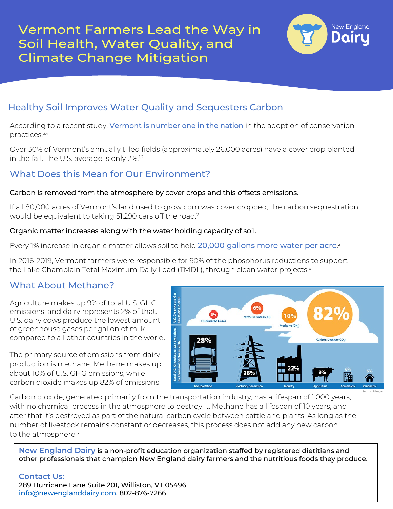

# Healthy Soil Improves Water Quality and Sequesters Carbon

According to a recent study, Vermont is number one in the nation in the adoption of conservation practices.3,4

Over 30% of Vermont's annually tilled fields (approximately 26,000 acres) have a cover crop planted in the fall. The U.S. average is only 2%.<sup>1,2</sup>

## What Does this Mean for Our Environment?

### Carbon is removed from the atmosphere by cover crops and this offsets emissions.

If all 80,000 acres of Vermont's land used to grow corn was cover cropped, the carbon sequestration would be equivalent to taking 51,290 cars off the road.2

### Organic matter increases along with the water holding capacity of soil.

Every 1% increase in organic matter allows soil to hold 20,000 gallons more water per acre.<sup>2</sup>

In 2016-2019, Vermont farmers were responsible for 90% of the phosphorus reductions to support the Lake Champlain Total Maximum Daily Load (TMDL), through clean water projects.<sup>6</sup>

## What About Methane?

Agriculture makes up 9% of total U.S. GHG emissions, and dairy represents 2% of that. U.S. dairy cows produce the lowest amount of greenhouse gases per gallon of milk compared to all other countries in the world.

The primary source of emissions from dairy production is methane. Methane makes up about 10% of U.S. GHG emissions, while carbon dioxide makes up 82% of emissions.



Carbon dioxide, generated primarily from the transportation industry, has a lifespan of 1,000 years, with no chemical process in the atmosphere to destroy it. Methane has a lifespan of 10 years, and after that it's destroyed as part of the natural carbon cycle between cattle and plants. As long as the number of livestock remains constant or decreases, this process does not add any new carbon to the atmosphere.<sup>5</sup>

**New England Dairy** is a non-profit education organization staffed by registered dietitians and other professionals that champion New England dairy farmers and the nutritious foods they produce.

#### **Contact Us:**  289 Hurricane Lane Suite 201, Williston, VT 05496 [info@newenglanddairy.com,](mailto:info@newenglanddairy.com) 802-876-7266